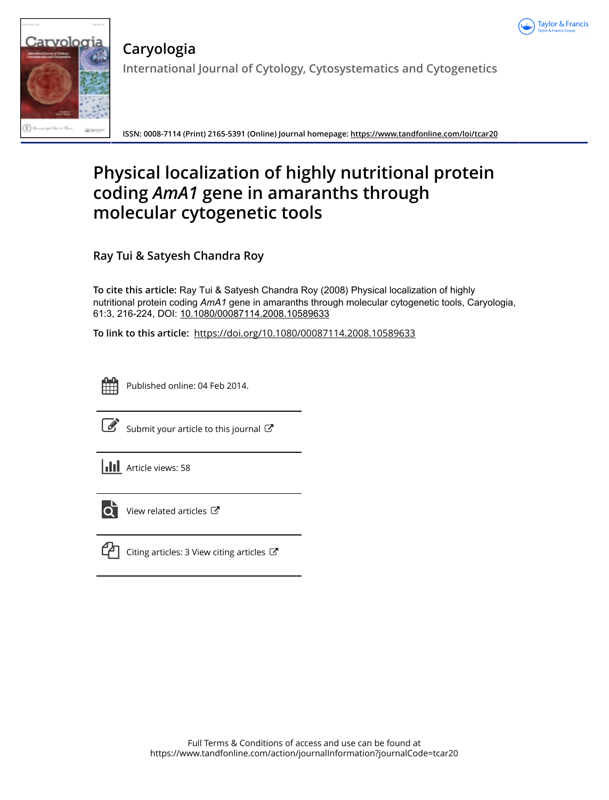



**Caryologia International Journal of Cytology, Cytosystematics and Cytogenetics**

**ISSN: 0008-7114 (Print) 2165-5391 (Online) Journal homepage:<https://www.tandfonline.com/loi/tcar20>**

# **Physical localization of highly nutritional protein coding** *AmA1* **gene in amaranths through molecular cytogenetic tools**

**Ray Tui & Satyesh Chandra Roy**

**To cite this article:** Ray Tui & Satyesh Chandra Roy (2008) Physical localization of highly nutritional protein coding *AmA1* gene in amaranths through molecular cytogenetic tools, Caryologia, 61:3, 216-224, DOI: [10.1080/00087114.2008.10589633](https://www.tandfonline.com/action/showCitFormats?doi=10.1080/00087114.2008.10589633)

**To link to this article:** <https://doi.org/10.1080/00087114.2008.10589633>

Published online: 04 Feb 2014.



 $\overrightarrow{S}$  [Submit your article to this journal](https://www.tandfonline.com/action/authorSubmission?journalCode=tcar20&show=instructions)  $\overrightarrow{S}$ 





 $\overrightarrow{Q}$  [View related articles](https://www.tandfonline.com/doi/mlt/10.1080/00087114.2008.10589633)  $\overrightarrow{C}$ 



[Citing articles: 3 View citing articles](https://www.tandfonline.com/doi/citedby/10.1080/00087114.2008.10589633#tabModule)  $\mathbb{Z}$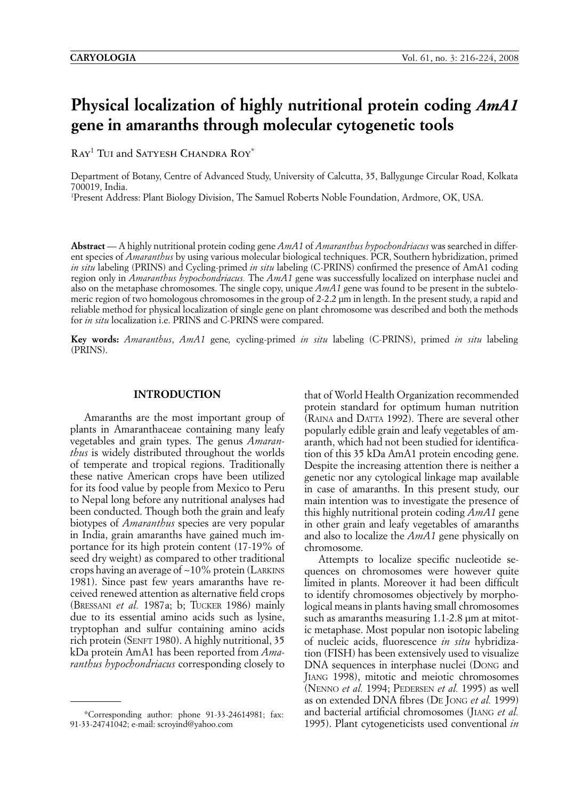## **Physical localization of highly nutritional protein coding** *AmA1* **gene in amaranths through molecular cytogenetic tools**

RAY<sup>1</sup> TUI and SATYESH CHANDRA ROY<sup>\*</sup>

Department of Botany, Centre of Advanced Study, University of Calcutta, 35, Ballygunge Circular Road, Kolkata 700019, India.

1 Present Address: Plant Biology Division, The Samuel Roberts Noble Foundation, Ardmore, OK, USA.

**Abstract** — A highly nutritional protein coding gene *AmA1* of *Amaranthus hypochondriacus* was searched in different species of *Amaranthus* by using various molecular biological techniques. PCR, Southern hybridization, primed *in situ* labeling (PRINS) and Cycling-primed *in situ* labeling (C-PRINS) confirmed the presence of AmA1 coding region only in *Amaranthus hypochondriacus.* The *AmA1* gene was successfully localized on interphase nuclei and also on the metaphase chromosomes. The single copy, unique *AmA1* gene was found to be present in the subtelomeric region of two homologous chromosomes in the group of 2-2.2 µm in length. In the present study, a rapid and reliable method for physical localization of single gene on plant chromosome was described and both the methods for *in situ* localization i.e. PRINS and C-PRINS were compared.

**Key words:** *Amaranthus*, *AmA1* gene*,* cycling-primed *in situ* labeling (C-PRINS), primed *in situ* labeling (PRINS).

#### **INTRODUCTION**

Amaranths are the most important group of plants in Amaranthaceae containing many leafy vegetables and grain types. The genus *Amaranthus* is widely distributed throughout the worlds of temperate and tropical regions. Traditionally these native American crops have been utilized for its food value by people from Mexico to Peru to Nepal long before any nutritional analyses had been conducted. Though both the grain and leafy biotypes of *Amaranthus* species are very popular in India, grain amaranths have gained much importance for its high protein content (17-19% of seed dry weight) as compared to other traditional crops having an average of ~10% protein (LARKINS 1981). Since past few years amaranths have received renewed attention as alternative field crops (BRESSANI *et al.* 1987a; b; TUCKER 1986) mainly due to its essential amino acids such as lysine, tryptophan and sulfur containing amino acids rich protein (SENFT 1980). A highly nutritional, 35 kDa protein AmA1 has been reported from *Amaranthus hypochondriacus* corresponding closely to

that of World Health Organization recommended protein standard for optimum human nutrition (RAINA and DATTA 1992). There are several other popularly edible grain and leafy vegetables of amaranth, which had not been studied for identification of this 35 kDa AmA1 protein encoding gene. Despite the increasing attention there is neither a genetic nor any cytological linkage map available in case of amaranths. In this present study, our main intention was to investigate the presence of this highly nutritional protein coding *AmA1* gene in other grain and leafy vegetables of amaranths and also to localize the *AmA1* gene physically on chromosome.

Attempts to localize specific nucleotide sequences on chromosomes were however quite limited in plants. Moreover it had been difficult to identify chromosomes objectively by morphological means in plants having small chromosomes such as amaranths measuring 1.1-2.8  $\mu$ m at mitotic metaphase. Most popular non isotopic labeling of nucleic acids, fluorescence *in situ* hybridization (FISH) has been extensively used to visualize DNA sequences in interphase nuclei (DONG and JIANG 1998), mitotic and meiotic chromosomes (NENNO *et al.* 1994; PEDERSEN *et al.* 1995) as well as on extended DNA fibres (DE JONG *et al.* 1999) and bacterial artificial chromosomes (JIANG *et al.* 1995). Plant cytogeneticists used conventional *in* 

<sup>\*</sup>Corresponding author: phone 91-33-24614981; fax: 91-33-24741042; e-mail: scroyind@yahoo.com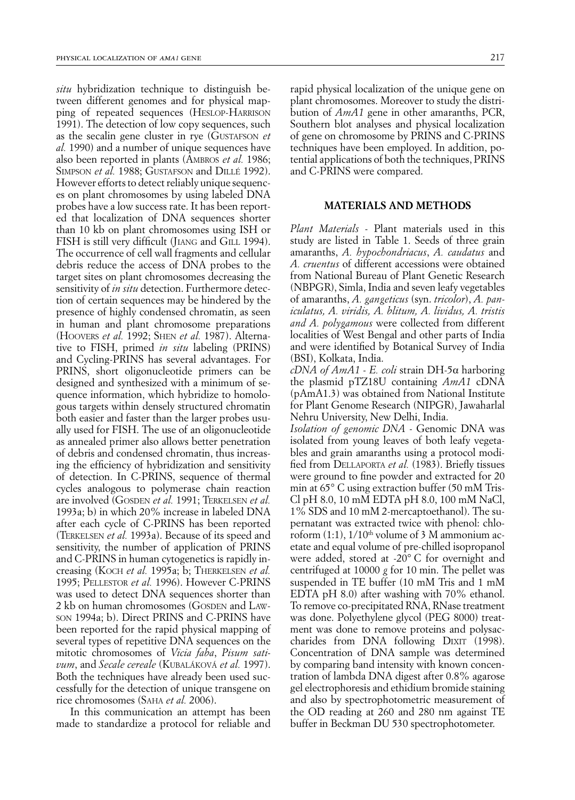*situ* hybridization technique to distinguish between different genomes and for physical mapping of repeated sequences (HESLOP-HARRISON 1991). The detection of low copy sequences, such as the secalin gene cluster in rye (GUSTAFSON *et al.* 1990) and a number of unique sequences have also been reported in plants (AMBROS *et al.* 1986; SIMPSON *et al.* 1988; GUSTAFSON and DILLÉ 1992). However efforts to detect reliably unique sequences on plant chromosomes by using labeled DNA probes have a low success rate. It has been reported that localization of DNA sequences shorter than 10 kb on plant chromosomes using ISH or FISH is still very difficult (JIANG and GILL 1994). The occurrence of cell wall fragments and cellular debris reduce the access of DNA probes to the target sites on plant chromosomes decreasing the sensitivity of *in situ* detection. Furthermore detection of certain sequences may be hindered by the presence of highly condensed chromatin, as seen in human and plant chromosome preparations (HOOVERS *et al.* 1992; SHEN *et al.* 1987). Alternative to FISH, primed *in situ* labeling (PRINS) and Cycling-PRINS has several advantages. For PRINS, short oligonucleotide primers can be designed and synthesized with a minimum of sequence information, which hybridize to homologous targets within densely structured chromatin both easier and faster than the larger probes usually used for FISH. The use of an oligonucleotide as annealed primer also allows better penetration of debris and condensed chromatin, thus increasing the efficiency of hybridization and sensitivity of detection. In C-PRINS, sequence of thermal cycles analogous to polymerase chain reaction are involved (GOSDEN *et al.* 1991; TERKELSEN *et al.* 1993a; b) in which 20% increase in labeled DNA after each cycle of C-PRINS has been reported (TERKELSEN *et al.* 1993a). Because of its speed and sensitivity, the number of application of PRINS and C-PRINS in human cytogenetics is rapidly increasing (KOCH *et al.* 1995a; b; THERKELSEN *et al.* 1995; PELLESTOR *et al.* 1996). However C-PRINS was used to detect DNA sequences shorter than 2 kb on human chromosomes (GOSDEN and LAW-SON 1994a; b). Direct PRINS and C-PRINS have been reported for the rapid physical mapping of several types of repetitive DNA sequences on the mitotic chromosomes of *Vicia faba*, *Pisum sativum*, and *Secale cereale* (KUBALÁKOVÁ *et al.* 1997). Both the techniques have already been used successfully for the detection of unique transgene on rice chromosomes (SAHA *et al.* 2006).

In this communication an attempt has been made to standardize a protocol for reliable and

rapid physical localization of the unique gene on plant chromosomes. Moreover to study the distribution of *AmA1* gene in other amaranths, PCR, Southern blot analyses and physical localization of gene on chromosome by PRINS and C-PRINS techniques have been employed. In addition, potential applications of both the techniques, PRINS and C-PRINS were compared.

### **MATERIALS AND METHODS**

*Plant Materials -* Plant materials used in this study are listed in Table 1. Seeds of three grain amaranths, *A. hypochondriacus*, *A. caudatus* and *A. cruentus* of different accessions were obtained from National Bureau of Plant Genetic Research (NBPGR), Simla, India and seven leafy vegetables of amaranths, *A. gangeticus* (syn. *tricolor*), *A. paniculatus, A. viridis, A. blitum, A. lividus, A. tristis and A. polygamous* were collected from different localities of West Bengal and other parts of India and were identified by Botanical Survey of India (BSI), Kolkata, India.

*cDNA of AmA1 - E. coli* strain DH-5a harboring the plasmid pTZ18U containing *AmA1* cDNA (pAmA1.3) was obtained from National Institute for Plant Genome Research (NIPGR), Jawaharlal Nehru University, New Delhi, India.

*Isolation of genomic DNA -* Genomic DNA was isolated from young leaves of both leafy vegetables and grain amaranths using a protocol modified from DELLAPORTA *et al.* (1983). Briefly tissues were ground to fine powder and extracted for 20 min at 65° C using extraction buffer (50 mM Tris-Cl pH 8.0, 10 mM EDTA pH 8.0, 100 mM NaCl, 1% SDS and 10 mM 2-mercaptoethanol). The supernatant was extracted twice with phenol: chloroform  $(1:1)$ ,  $1/10<sup>th</sup>$  volume of 3 M ammonium acetate and equal volume of pre-chilled isopropanol were added, stored at -20° C for overnight and centrifuged at 10000 *g* for 10 min. The pellet was suspended in TE buffer (10 mM Tris and 1 mM EDTA pH 8.0) after washing with 70% ethanol. To remove co-precipitated RNA, RNase treatment was done. Polyethylene glycol (PEG 8000) treatment was done to remove proteins and polysaccharides from DNA following DIXIT (1998). Concentration of DNA sample was determined by comparing band intensity with known concentration of lambda DNA digest after 0.8% agarose gel electrophoresis and ethidium bromide staining and also by spectrophotometric measurement of the OD reading at 260 and 280 nm against TE buffer in Beckman DU 530 spectrophotometer.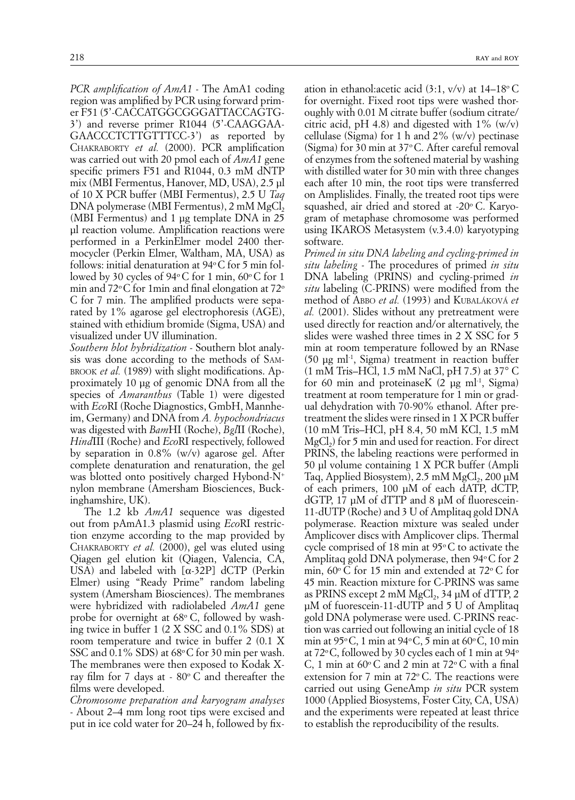*PCR amplification of AmA1 -* The AmA1 coding region was amplified by PCR using forward primer F51 (5'-CACCATGGCGGGATTACCAGTG-3') and reverse primer R1044 (5'-CAAGGAA-GAACCCTCTTGTTTCC-3') as reported by CHAKRABORTY *et al.* (2000). PCR amplification was carried out with 20 pmol each of *AmA1* gene specific primers F51 and R1044, 0.3 mM dNTP mix (MBI Fermentus, Hanover, MD, USA), 2.5 µl of 10 X PCR buffer (MBI Fermentus), 2.5 U *Taq*  $DNA$  polymerase (MBI Fermentus),  $2 \text{ mM } MgCl<sub>2</sub>$ (MBI Fermentus) and 1 µg template DNA in 25 µl reaction volume. Amplification reactions were performed in a PerkinElmer model 2400 thermocycler (Perkin Elmer, Waltham, MA, USA) as follows: initial denaturation at  $94^{\circ}$ C for 5 min followed by 30 cycles of 94 $\degree$ C for 1 min, 60 $\degree$ C for 1 min and 72 $\rm{^{\circ}C}$  for 1min and final elongation at 72 $\rm{^{\circ}}$ C for 7 min. The amplified products were separated by 1% agarose gel electrophoresis (AGE), stained with ethidium bromide (Sigma, USA) and visualized under UV illumination.

*Southern blot hybridization -* Southern blot analysis was done according to the methods of SAM-BROOK *et al.* (1989) with slight modifications. Approximately 10 µg of genomic DNA from all the species of *Amaranthus* (Table 1) were digested with *Eco*RI (Roche Diagnostics, GmbH, Mannheim, Germany) and DNA from *A. hypochondriacus*  was digested with *Bam*HI (Roche), *Bgl*II (Roche), *Hind*III (Roche) and *Eco*RI respectively, followed by separation in 0.8% (w/v) agarose gel. After complete denaturation and renaturation, the gel was blotted onto positively charged Hybond-N+ nylon membrane (Amersham Biosciences, Buckinghamshire, UK).

The 1.2 kb *AmA1* sequence was digested out from pAmA1.3 plasmid using *Eco*RI restriction enzyme according to the map provided by CHAKRABORTY *et al.* (2000), gel was eluted using Qiagen gel elution kit (Qiagen, Valencia, CA, USA) and labeled with  $[\alpha-32P]$  dCTP (Perkin Elmer) using "Ready Prime" random labeling system (Amersham Biosciences). The membranes were hybridized with radiolabeled *AmA1* gene probe for overnight at 68°C, followed by washing twice in buffer 1 (2 X SSC and 0.1% SDS) at room temperature and twice in buffer 2 (0.1 X SSC and  $0.1\%$  SDS) at 68 $\degree$ C for 30 min per wash. The membranes were then exposed to Kodak Xray film for 7 days at  $-80^{\circ}$  C and thereafter the films were developed.

*Chromosome preparation and karyogram analyses -* About 2–4 mm long root tips were excised and put in ice cold water for 20–24 h, followed by fix-

ation in ethanol: acetic acid  $(3:1, v/v)$  at  $14-18$ <sup>o</sup> C for overnight. Fixed root tips were washed thoroughly with 0.01 M citrate buffer (sodium citrate/ citric acid, pH 4.8) and digested with  $1\%$  (w/v) cellulase (Sigma) for 1 h and  $2\%$  (w/v) pectinase (Sigma) for 30 min at  $37^{\circ}$ C. After careful removal of enzymes from the softened material by washing with distilled water for 30 min with three changes each after 10 min, the root tips were transferred on Amplislides. Finally, the treated root tips were squashed, air dried and stored at -20 $\degree$  C. Karyogram of metaphase chromosome was performed using IKAROS Metasystem (v.3.4.0) karyotyping software.

*Primed in situ DNA labeling and cycling-primed in situ labeling -* The procedures of primed *in situ* DNA labeling (PRINS) and cycling-primed *in situ* labeling (C-PRINS) were modified from the method of ABBO *et al.* (1993) and KUBALÁKOVÁ *et al.* (2001). Slides without any pretreatment were used directly for reaction and/or alternatively, the slides were washed three times in 2 X SSC for 5 min at room temperature followed by an RNase  $(50 \text{ µg ml}^{-1}$ , Sigma) treatment in reaction buffer (1 mM Tris–HCl, 1.5 mM NaCl, pH 7.5) at 37° C for 60 min and proteinaseK  $(2 \mu g \text{ ml}^{-1}, \text{Sigma})$ treatment at room temperature for 1 min or gradual dehydration with 70-90% ethanol. After pretreatment the slides were rinsed in 1 X PCR buffer (10 mM Tris–HCl, pH 8.4, 50 mM KCl, 1.5 mM  $MgCl<sub>2</sub>$ ) for 5 min and used for reaction. For direct PRINS, the labeling reactions were performed in 50 µl volume containing 1 X PCR buffer (Ampli Tag, Applied Biosystem),  $2.5 \text{ mM } MgCl_2$ ,  $200 \mu M$ of each primers, 100 µM of each dATP, dCTP, dGTP, 17 µM of dTTP and 8 µM of fluorescein-11-dUTP (Roche) and 3 U of Amplitaq gold DNA polymerase. Reaction mixture was sealed under Amplicover discs with Amplicover clips. Thermal cycle comprised of 18 min at  $95^{\circ}$ C to activate the Amplitag gold DNA polymerase, then  $94^{\circ}$ C for 2 min,  $60^{\circ}$  C for 15 min and extended at 72 $^{\circ}$  C for 45 min. Reaction mixture for C-PRINS was same as PRINS except 2 mM  $MgCl<sub>2</sub>$ , 34 µM of dTTP, 2 µM of fuorescein-11-dUTP and 5 U of Amplitaq gold DNA polymerase were used. C-PRINS reaction was carried out following an initial cycle of 18 min at  $95^{\circ}$ C, 1 min at  $94^{\circ}$ C, 5 min at  $60^{\circ}$ C, 10 min at 72 $\rm{^{\circ}C}$ , followed by 30 cycles each of 1 min at 94 $\rm{^{\circ}}$ C, 1 min at  $60^{\circ}$ C and 2 min at  $72^{\circ}$ C with a final extension for 7 min at  $72^{\circ}$  C. The reactions were carried out using GeneAmp *in situ* PCR system 1000 (Applied Biosystems, Foster City, CA, USA) and the experiments were repeated at least thrice to establish the reproducibility of the results.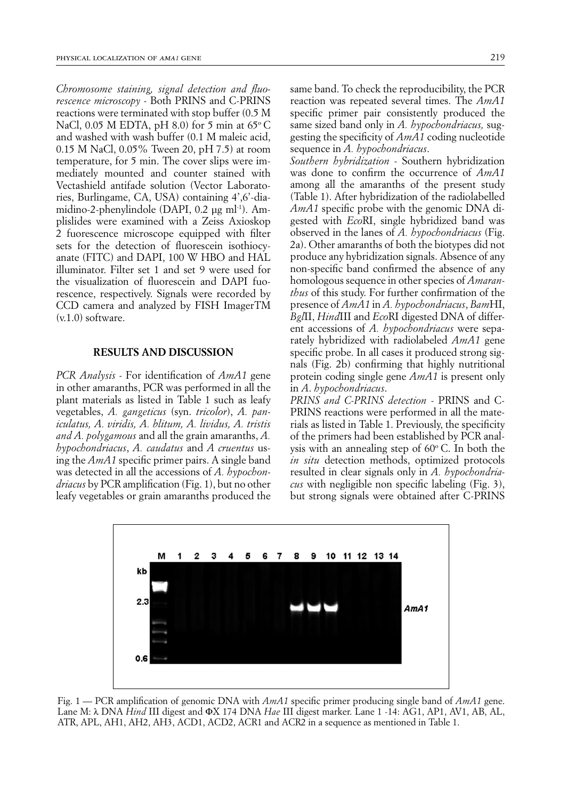*Chromosome staining, signal detection and fluorescence microscopy -* Both PRINS and C-PRINS reactions were terminated with stop buffer (0.5 M NaCl, 0.05 M EDTA, pH 8.0) for 5 min at  $65^{\circ}$ C and washed with wash buffer (0.1 M maleic acid, 0.15 M NaCl, 0.05% Tween 20, pH 7.5) at room temperature, for 5 min. The cover slips were immediately mounted and counter stained with Vectashield antifade solution (Vector Laboratories, Burlingame, CA, USA) containing 4',6'-diamidino-2-phenylindole (DAPI, 0.2 µg ml<sup>-1</sup>). Amplislides were examined with a Zeiss Axioskop 2 fuorescence microscope equipped with filter sets for the detection of fluorescein isothiocyanate (FITC) and DAPI, 100 W HBO and HAL illuminator. Filter set 1 and set 9 were used for the visualization of fluorescein and DAPI fuorescence, respectively. Signals were recorded by CCD camera and analyzed by FISH ImagerTM  $(v.1.0)$  software.

### **RESULTS AND DISCUSSION**

*PCR Analysis -* For identification of *AmA1* gene in other amaranths, PCR was performed in all the plant materials as listed in Table 1 such as leafy vegetables, *A. gangeticus* (syn. *tricolor*), *A. paniculatus, A. viridis, A. blitum, A. lividus, A. tristis and A. polygamous* and all the grain amaranths, *A. hypochondriacus*, *A. caudatus* and *A cruentus* using the *AmA1* specific primer pairs. A single band was detected in all the accessions of *A. hypochondriacus* by PCR amplification (Fig. 1), but no other leafy vegetables or grain amaranths produced the same band. To check the reproducibility, the PCR reaction was repeated several times. The *AmA1* specific primer pair consistently produced the same sized band only in *A. hypochondriacus,* suggesting the specificity of *AmA1* coding nucleotide sequence in *A. hypochondriacus*.

*Southern hybridization -* Southern hybridization was done to confirm the occurrence of *AmA1* among all the amaranths of the present study (Table 1). After hybridization of the radiolabelled *AmA1* specific probe with the genomic DNA digested with *Eco*RI, single hybridized band was observed in the lanes of *A. hypochondriacus* (Fig. 2a). Other amaranths of both the biotypes did not produce any hybridization signals. Absence of any non-specific band confirmed the absence of any homologous sequence in other species of *Amaranthus* of this study. For further confirmation of the presence of *AmA1* in *A. hypochondriacus*, *Bam*HI, *Bgl*II, *Hind*III and *Eco*RI digested DNA of different accessions of *A. hypochondriacus* were separately hybridized with radiolabeled *AmA1* gene specific probe. In all cases it produced strong signals (Fig. 2b) confirming that highly nutritional protein coding single gene *AmA1* is present only in *A*. *hypochondriacus*.

*PRINS and C-PRINS detection -* PRINS and C-PRINS reactions were performed in all the materials as listed in Table 1. Previously, the specificity of the primers had been established by PCR analysis with an annealing step of  $60^{\circ}$  C. In both the *in situ* detection methods, optimized protocols resulted in clear signals only in *A. hypochondriacus* with negligible non specific labeling (Fig. 3), but strong signals were obtained after C-PRINS



Fig. 1 — PCR amplification of genomic DNA with *AmA1* specific primer producing single band of *AmA1* gene. Lane M: λ DNA *Hind* III digest and ΦX 174 DNA *Hae* III digest marker. Lane 1 -14: AG1, AP1, AV1, AB, AL, ATR, APL, AH1, AH2, AH3, ACD1, ACD2, ACR1 and ACR2 in a sequence as mentioned in Table 1.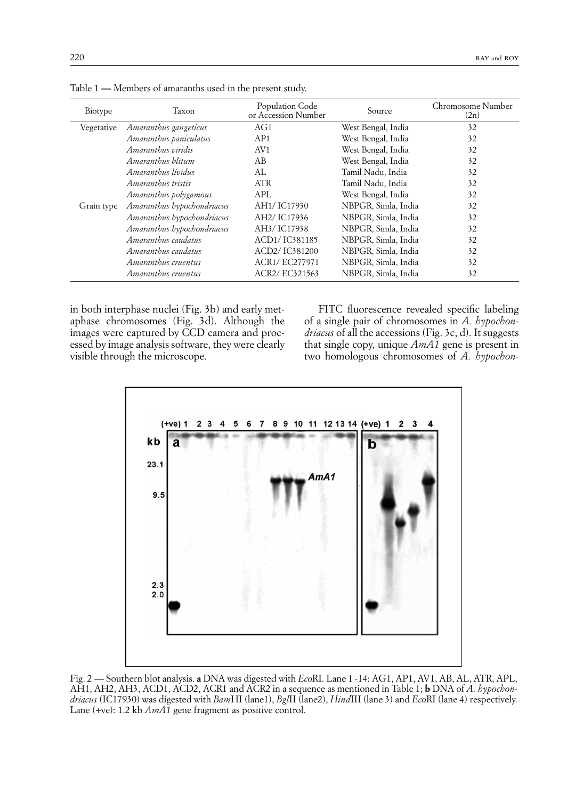| Biotype    | Taxon                      | Population Code<br>or Accession Number | Source              | Chromosome Number<br>(2n) |
|------------|----------------------------|----------------------------------------|---------------------|---------------------------|
| Vegetative | Amaranthus gangeticus      | AG1                                    | West Bengal, India  | 32                        |
|            | Amaranthus paniculatus     | AP1                                    | West Bengal, India  | 32                        |
|            | Amaranthus viridis         | AV1                                    | West Bengal, India  | 32                        |
|            | Amaranthus hlitum          | AВ                                     | West Bengal, India  | 32                        |
|            | Amaranthus lividus         | AL.                                    | Tamil Nadu, India   | 32                        |
|            | Amaranthus tristis         | <b>ATR</b>                             | Tamil Nadu, India   | 32                        |
|            | Amaranthus polygamous      | APL                                    | West Bengal, India  | 32                        |
| Grain type | Amaranthus hypochondriacus | AH1/ IC17930                           | NBPGR, Simla, India | 32                        |
|            | Amaranthus hypochondriacus | AH2/IC17936                            | NBPGR, Simla, India | 32                        |
|            | Amaranthus hypochondriacus | AH3/IC17938                            | NBPGR, Simla, India | 32                        |
|            | Amaranthus caudatus        | ACD1/IC381185                          | NBPGR, Simla, India | 32                        |
|            | Amaranthus caudatus        | ACD2/IC381200                          | NBPGR, Simla, India | 32                        |
|            | Amaranthus cruentus        | ACR1/EC277971                          | NBPGR, Simla, India | 32                        |
|            | Amaranthus cruentus        | ACR2/EC321563                          | NBPGR, Simla, India | 32                        |

Table 1 **—** Members of amaranths used in the present study.

in both interphase nuclei (Fig. 3b) and early metaphase chromosomes (Fig. 3d). Although the images were captured by CCD camera and processed by image analysis software, they were clearly visible through the microscope.

FITC fluorescence revealed specific labeling of a single pair of chromosomes in *A. hypochondriacus* of all the accessions (Fig. 3c, d). It suggests that single copy, unique *AmA1* gene is present in two homologous chromosomes of *A. hypochon-*



Fig. 2 — Southern blot analysis. **a** DNA was digested with *Eco*RI. Lane 1 -14: AG1, AP1, AV1, AB, AL, ATR, APL, AH1, AH2, AH3, ACD1, ACD2, ACR1 and ACR2 in a sequence as mentioned in Table 1; **b** DNA of *A. hypochondriacus* (IC17930) was digested with *Bam*HI (lane1), *Bgl*II (lane2), *Hind*III (lane 3) and *Eco*RI (lane 4) respectively. Lane (+ve): 1.2 kb *AmA1* gene fragment as positive control.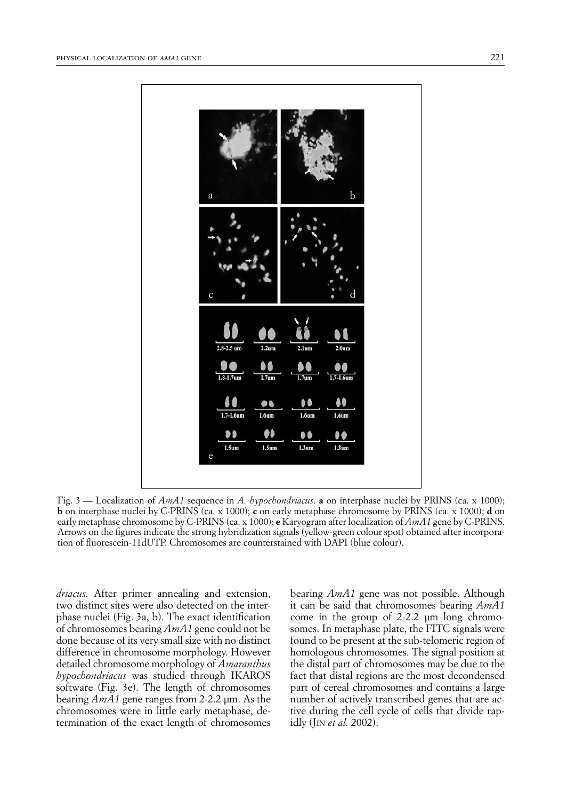

Fig. 3 — Localization of *AmA1* sequence in *A. hypochondriacus*. **a** on interphase nuclei by PRINS (ca. x 1000); **b** on interphase nuclei by C-PRINS (ca. x 1000); **c** on early metaphase chromosome by PRINS (ca. x 1000); **d** on early metaphase chromosome by C-PRINS (ca. x 1000); **e** Karyogram after localization of *AmA1* gene by C-PRINS. Arrows on the figures indicate the strong hybridization signals (yellow-green colour spot) obtained after incorporation of fluorescein-11dUTP. Chromosomes are counterstained with DAPI (blue colour).

*driacus.* After primer annealing and extension, two distinct sites were also detected on the interphase nuclei (Fig. 3a, b). The exact identification of chromosomes bearing *AmA1* gene could not be done because of its very small size with no distinct difference in chromosome morphology. However detailed chromosome morphology of *Amaranthus hypochondriacus* was studied through IKAROS software (Fig. 3e). The length of chromosomes bearing *AmA1* gene ranges from 2-2.2 µm. As the chromosomes were in little early metaphase, determination of the exact length of chromosomes bearing *AmA1* gene was not possible. Although it can be said that chromosomes bearing *AmA1* come in the group of 2-2.2 µm long chromosomes. In metaphase plate, the FITC signals were found to be present at the sub-telomeric region of homologous chromosomes. The signal position at the distal part of chromosomes may be due to the fact that distal regions are the most decondensed part of cereal chromosomes and contains a large number of actively transcribed genes that are active during the cell cycle of cells that divide rapidly (JIN *et al.* 2002).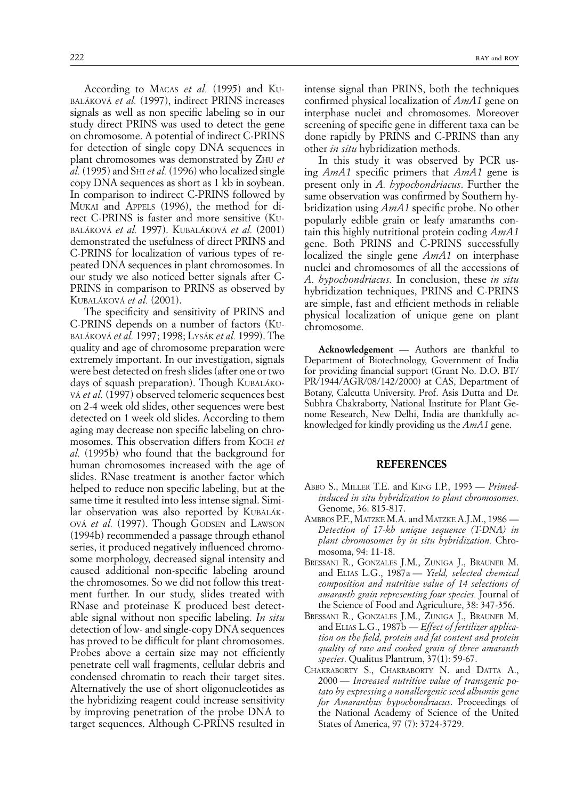According to MACAS *et al.* (1995) and KU-BALÁKOVÁ *et al.* (1997), indirect PRINS increases signals as well as non specific labeling so in our study direct PRINS was used to detect the gene on chromosome. A potential of indirect C-PRINS for detection of single copy DNA sequences in plant chromosomes was demonstrated by ZHU *et al.* (1995) and SHI *et al.* (1996) who localized single copy DNA sequences as short as 1 kb in soybean. In comparison to indirect C-PRINS followed by MUKAI and APPELS (1996), the method for direct C-PRINS is faster and more sensitive (KU-BALÁKOVÁ *et al.* 1997). KUBALÁKOVÁ *et al.* (2001) demonstrated the usefulness of direct PRINS and C-PRINS for localization of various types of repeated DNA sequences in plant chromosomes. In our study we also noticed better signals after C-PRINS in comparison to PRINS as observed by KUBALÁKOVÁ *et al.* (2001).

The specificity and sensitivity of PRINS and C-PRINS depends on a number of factors (KU-BALÁKOVÁ *et al.* 1997; 1998; LYSÁK *et al.* 1999). The quality and age of chromosome preparation were extremely important. In our investigation, signals were best detected on fresh slides (after one or two days of squash preparation). Though KUBALÁKO-VÁ *et al.* (1997) observed telomeric sequences best on 2-4 week old slides, other sequences were best detected on 1 week old slides. According to them aging may decrease non specific labeling on chromosomes. This observation differs from KOCH *et al.* (1995b) who found that the background for human chromosomes increased with the age of slides. RNase treatment is another factor which helped to reduce non specific labeling, but at the same time it resulted into less intense signal. Similar observation was also reported by KUBALÁK-OVÁ *et al.* (1997). Though GODSEN and LAWSON (1994b) recommended a passage through ethanol series, it produced negatively influenced chromosome morphology, decreased signal intensity and caused additional non-specific labeling around the chromosomes. So we did not follow this treatment further. In our study, slides treated with RNase and proteinase K produced best detectable signal without non specific labeling. *In situ* detection of low- and single-copy DNA sequences has proved to be difficult for plant chromosomes. Probes above a certain size may not efficiently penetrate cell wall fragments, cellular debris and condensed chromatin to reach their target sites. Alternatively the use of short oligonucleotides as the hybridizing reagent could increase sensitivity by improving penetration of the probe DNA to target sequences. Although C-PRINS resulted in

intense signal than PRINS, both the techniques confirmed physical localization of *AmA1* gene on interphase nuclei and chromosomes. Moreover screening of specific gene in different taxa can be done rapidly by PRINS and C-PRINS than any other *in situ* hybridization methods.

In this study it was observed by PCR using *AmA1* specific primers that *AmA1* gene is present only in *A. hypochondriacus*. Further the same observation was confirmed by Southern hybridization using *AmA1* specific probe. No other popularly edible grain or leafy amaranths contain this highly nutritional protein coding *AmA1* gene. Both PRINS and C-PRINS successfully localized the single gene *AmA1* on interphase nuclei and chromosomes of all the accessions of *A. hypochondriacus.* In conclusion, these *in situ* hybridization techniques, PRINS and C-PRINS are simple, fast and efficient methods in reliable physical localization of unique gene on plant chromosome.

**Acknowledgement** — Authors are thankful to Department of Biotechnology, Government of India for providing financial support (Grant No. D.O. BT/ PR/1944/AGR/08/142/2000) at CAS, Department of Botany, Calcutta University. Prof. Asis Dutta and Dr. Subhra Chakraborty, National Institute for Plant Genome Research, New Delhi, India are thankfully acknowledged for kindly providing us the *AmA1* gene.

### **REFERENCES**

- ABBO S., MILLER T.E. and KING I.P., 1993 *Primedinduced in situ hybridization to plant chromosomes.*  Genome, 36: 815-817.
- AMBROS P.F., MATZKE M.A. and MATZKE A.J.M., 1986 *Detection of 17-kb unique sequence (T-DNA) in plant chromosomes by in situ hybridization.* Chromosoma, 94: 11-18.
- BRESSANI R., GONZALES J.M., ZUNIGA J., BRAUNER M. and ELIAS L.G., 1987a — *Yield, selected chemical composition and nutritive value of 14 selections of amaranth grain representing four species.* Journal of the Science of Food and Agriculture, 38: 347-356.
- BRESSANI R., GONZALES J.M., ZUNIGA J., BRAUNER M. and ELIAS L.G., 1987b — *Effect of fertilizer application on the field, protein and fat content and protein quality of raw and cooked grain of three amaranth species*. Qualitus Plantrum, 37(1): 59-67.
- CHAKRABORTY S., CHAKRABORTY N. and DATTA A., 2000 — *Increased nutritive value of transgenic potato by expressing a nonallergenic seed albumin gene for Amaranthus hypochondriacus*. Proceedings of the National Academy of Science of the United States of America, 97 (7): 3724-3729.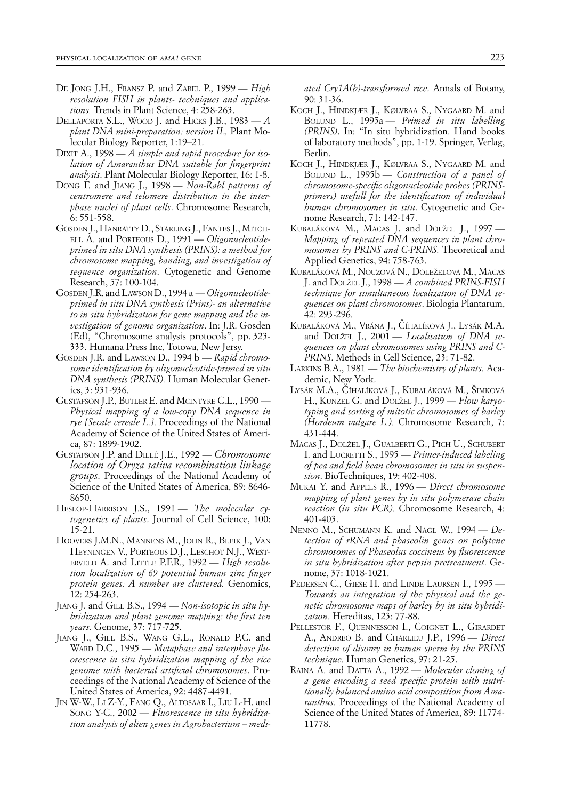- DE JONG J.H., FRANSZ P. and ZABEL P., 1999 *High resolution FISH in plants- techniques and applications.* Trends in Plant Science, 4: 258-263.
- DELLAPORTA S.L., WOOD J. and HICKS J.B., 1983 *A plant DNA mini-preparation: version II*.*,* Plant Molecular Biology Reporter, 1:19–21.
- DIXIT A., 1998 *A simple and rapid procedure for isolation of Amaranthus DNA suitable for fingerprint analysis*. Plant Molecular Biology Reporter, 16: 1-8.
- DONG F. and JIANG J., 1998 *Non-Rabl patterns of centromere and telomere distribution in the interphase nuclei of plant cells*. Chromosome Research, 6: 551-558.
- GOSDEN J., HANRATTY D., STARLING J., FANTES J., MITCH-ELL A. and PORTEOUS D., 1991 — *Oligonucleotideprimed in situ DNA synthesis (PRINS): a method for chromosome mapping, banding, and investigation of sequence organization*. Cytogenetic and Genome Research, 57: 100-104.
- GOSDEN J.R. and LAWSON D., 1994 a *Oligonucleotideprimed in situ DNA synthesis (Prins)- an alternative to in situ hybridization for gene mapping and the investigation of genome organization*. In: J.R. Gosden (Ed), "Chromosome analysis protocols", pp. 323- 333. Humana Press Inc, Totowa, New Jersy.
- GOSDEN J.R. and LAWSON D., 1994 b *Rapid chromosome identification by oligonucleotide-primed in situ DNA synthesis (PRINS).* Human Molecular Genetics, 3: 931-936.
- GUSTAFSON J.P., BUTLER E. and MCINTYRE C.L., 1990 *Physical mapping of a low-copy DNA sequence in rye {Secale cereale L.}.* Proceedings of the National Academy of Science of the United States of America, 87: 1899-1902.
- GUSTAFSON J.P. and DILLÉ J.E., 1992 *Chromosome location of Oryza sativa recombination linkage groups.* Proceedings of the National Academy of Science of the United States of America, 89: 8646- 8650.
- HESLOP-HARRISON J.S., 1991 The molecular cy*togenetics of plants*. Journal of Cell Science, 100: 15-21.
- HOOVERS J.M.N., MANNENS M., JOHN R., BLEIK J., VAN HEYNINGEN V., PORTEOUS D.J., LESCHOT N.J., WEST-ERVELD A. and LITTLE P.F.R., 1992 — *High resolution localization of 69 potential human zinc finger protein genes: A number are clustered.* Genomics, 12: 254-263.
- JIANG J. and GILL B.S., 1994 *Non-isotopic in situ hybridization and plant genome mapping: the first ten years*. Genome, 37: 717-725.
- JIANG J., GILL B.S., WANG G.L., RONALD P.C. and WARD D.C., 1995 — *Metaphase and interphase fluorescence in situ hybridization mapping of the rice genome with bacterial artificial chromosomes*. Proceedings of the National Academy of Science of the United States of America, 92: 4487-4491.
- JIN W-W., LI Z-Y., FANG Q., ALTOSAAR I., LIU L-H. and SONG Y-C., 2002 — *Fluorescence in situ hybridization analysis of alien genes in Agrobacterium – medi-*

*ated Cry1A(b)-transformed rice*. Annals of Botany, 90: 31-36.

- KOCH J., HINDKJÆR J., KØLVRAA S., NYGAARD M. and BOLUND L., 1995a — *Primed in situ labelling (PRINS)*. In: "In situ hybridization. Hand books of laboratory methods", pp. 1-19. Springer, Verlag, Berlin.
- KOCH J., HINDKJÆR J., KØLVRAA S., NYGAARD M. and BOLUND L., 1995b — *Construction of a panel of chromosome-specific oligonucleotide probes (PRINSprimers) usefull for the identification of individual human chromosomes in situ*. Cytogenetic and Genome Research, 71: 142-147.
- KUBALÁKOVÁ M., MACAS J. and DOLŽEL J., 1997 *Mapping of repeated DNA sequences in plant chromosomes by PRINS and C-PRINS.* Theoretical and Applied Genetics, 94: 758-763.
- KUBALÁKOVÁ M., NOUZOVÁ N., DOLEŽELOVA M., MACAS J. and DOLŽEL J., 1998 — *A combined PRINS-FISH technique for simultaneous localization of DNA sequences on plant chromosomes*. Biologia Plantarum, 42: 293-296.
- KUBALÁKOVÁ M., VRÁNA J., ČÍHALÍKOVÁ J., LYSÁK M.A. and DOLŽEL J., 2001 — *Localisation of DNA sequences on plant chromosomes using PRINS and C-PRINS*. Methods in Cell Science, 23: 71-82.
- LARKINS B.A., 1981 *The biochemistry of plants*. Academic, New York.
- LYSÁK M.A., Číhalíková J., Kubaláková M., Šimková H., KUNZEL G. and DOLŽEL J., 1999 — *Flow karyotyping and sorting of mitotic chromosomes of barley (Hordeum vulgare L.).* Chromosome Research, 7: 431-444.
- MACAS J., DOLŽEL J., GUALBERTI G., PICH U., SCHUBERT I. and LUCRETTI S., 1995 — *Primer-induced labeling of pea and field bean chromosomes in situ in suspension*. BioTechniques, 19: 402-408.
- MUKAI Y. and APPELS R., 1996 *Direct chromosome mapping of plant genes by in situ polymerase chain reaction (in situ PCR).* Chromosome Research, 4: 401-403.
- NENNO M., SCHUMANN K. and NAGL W., 1994 *Detection of rRNA and phaseolin genes on polytene chromosomes of Phaseolus coccineus by fluorescence in situ hybridization after pepsin pretreatment*. Genome, 37: 1018-1021.
- PEDERSEN C., GIESE H. and LINDE LAURSEN I., 1995 *Towards an integration of the physical and the genetic chromosome maps of barley by in situ hybridization*. Hereditas, 123: 77-88.
- PELLESTOR F., QUENNESSON I., COIGNET L., GIRARDET A., ANDREO B. and CHARLIEU J.P., 1996 — *Direct detection of disomy in human sperm by the PRINS technique*. Human Genetics, 97: 21-25.
- RAINA A. and DATTA A., 1992 *Molecular cloning of a gene encoding a seed specific protein with nutritionally balanced amino acid composition from Amaranthus*. Proceedings of the National Academy of Science of the United States of America, 89: 11774- 11778.